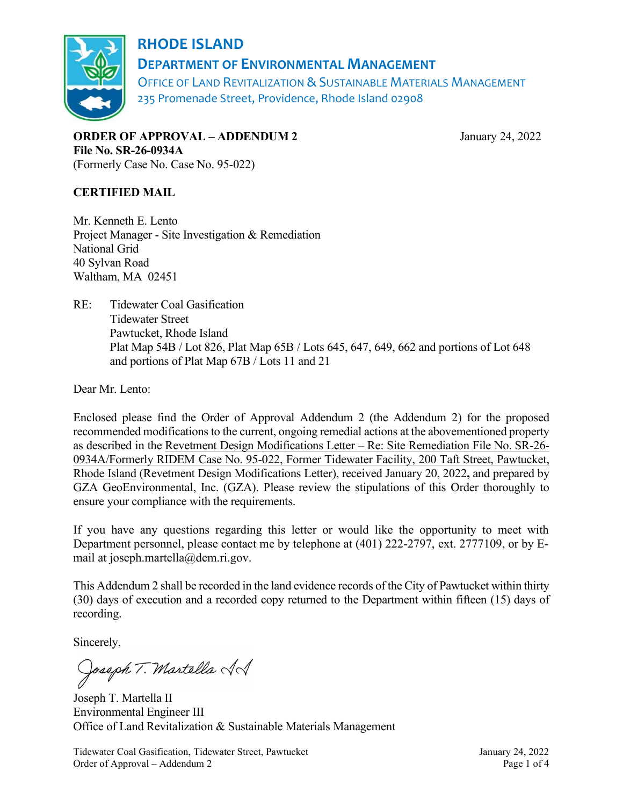

## RHODE ISLAND DEPARTMENT OF ENVIRONMENTAL MANAGEMENT

OFFICE OF LAND REVITALIZATION & SUSTAINABLE MATERIALS MANAGEMENT 235 Promenade Street, Providence, Rhode Island 02908

ORDER OF APPROVAL – ADDENDUM 2 January 24, 2022 File No. SR-26-0934A (Formerly Case No. Case No. 95-022)

CERTIFIED MAIL

Mr. Kenneth E. Lento Project Manager - Site Investigation & Remediation National Grid 40 Sylvan Road Waltham, MA 02451

RE: Tidewater Coal Gasification Tidewater Street Pawtucket, Rhode Island Plat Map 54B / Lot 826, Plat Map 65B / Lots 645, 647, 649, 662 and portions of Lot 648 and portions of Plat Map 67B / Lots 11 and 21

Dear Mr. Lento:

Enclosed please find the Order of Approval Addendum 2 (the Addendum 2) for the proposed recommended modifications to the current, ongoing remedial actions at the abovementioned property as described in the Revetment Design Modifications Letter – Re: Site Remediation File No. SR-26- 0934A/Formerly RIDEM Case No. 95-022, Former Tidewater Facility, 200 Taft Street, Pawtucket, Rhode Island (Revetment Design Modifications Letter), received January 20, 2022, and prepared by GZA GeoEnvironmental, Inc. (GZA). Please review the stipulations of this Order thoroughly to ensure your compliance with the requirements.

If you have any questions regarding this letter or would like the opportunity to meet with Department personnel, please contact me by telephone at (401) 222-2797, ext. 2777109, or by Email at joseph.martella@dem.ri.gov.

This Addendum 2 shall be recorded in the land evidence records of the City of Pawtucket within thirty (30) days of execution and a recorded copy returned to the Department within fifteen (15) days of recording.

Sincerely,

Joseph T. Martella AS

Joseph T. Martella II Environmental Engineer III Office of Land Revitalization & Sustainable Materials Management

Tidewater Coal Gasification, Tidewater Street, Pawtucket January 24, 2022 Order of Approval – Addendum 2 Page 1 of 4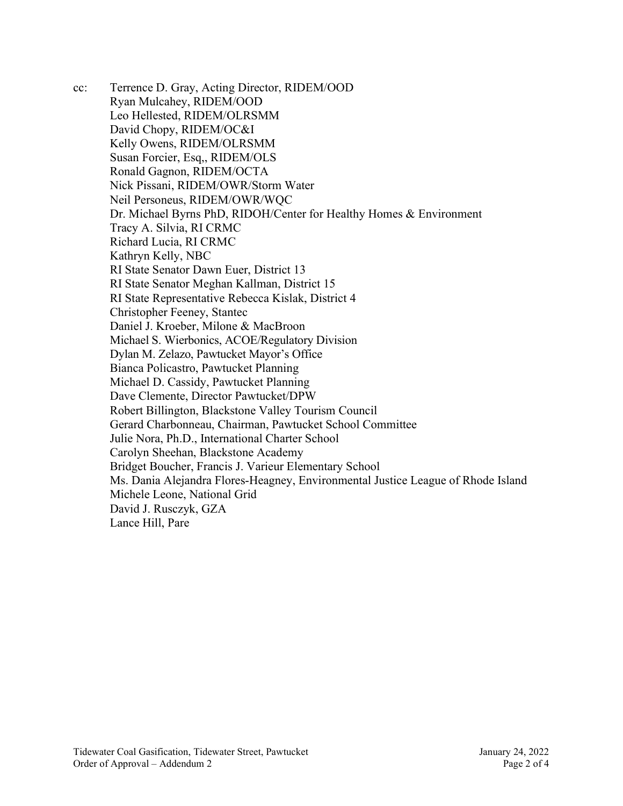cc: Terrence D. Gray, Acting Director, RIDEM/OOD Ryan Mulcahey, RIDEM/OOD Leo Hellested, RIDEM/OLRSMM David Chopy, RIDEM/OC&I Kelly Owens, RIDEM/OLRSMM Susan Forcier, Esq,, RIDEM/OLS Ronald Gagnon, RIDEM/OCTA Nick Pissani, RIDEM/OWR/Storm Water Neil Personeus, RIDEM/OWR/WQC Dr. Michael Byrns PhD, RIDOH/Center for Healthy Homes & Environment Tracy A. Silvia, RI CRMC Richard Lucia, RI CRMC Kathryn Kelly, NBC RI State Senator Dawn Euer, District 13 RI State Senator Meghan Kallman, District 15 RI State Representative Rebecca Kislak, District 4 Christopher Feeney, Stantec Daniel J. Kroeber, Milone & MacBroon Michael S. Wierbonics, ACOE/Regulatory Division Dylan M. Zelazo, Pawtucket Mayor's Office Bianca Policastro, Pawtucket Planning Michael D. Cassidy, Pawtucket Planning Dave Clemente, Director Pawtucket/DPW Robert Billington, Blackstone Valley Tourism Council Gerard Charbonneau, Chairman, Pawtucket School Committee Julie Nora, Ph.D., International Charter School Carolyn Sheehan, Blackstone Academy Bridget Boucher, Francis J. Varieur Elementary School Ms. Dania Alejandra Flores-Heagney, Environmental Justice League of Rhode Island Michele Leone, National Grid David J. Rusczyk, GZA Lance Hill, Pare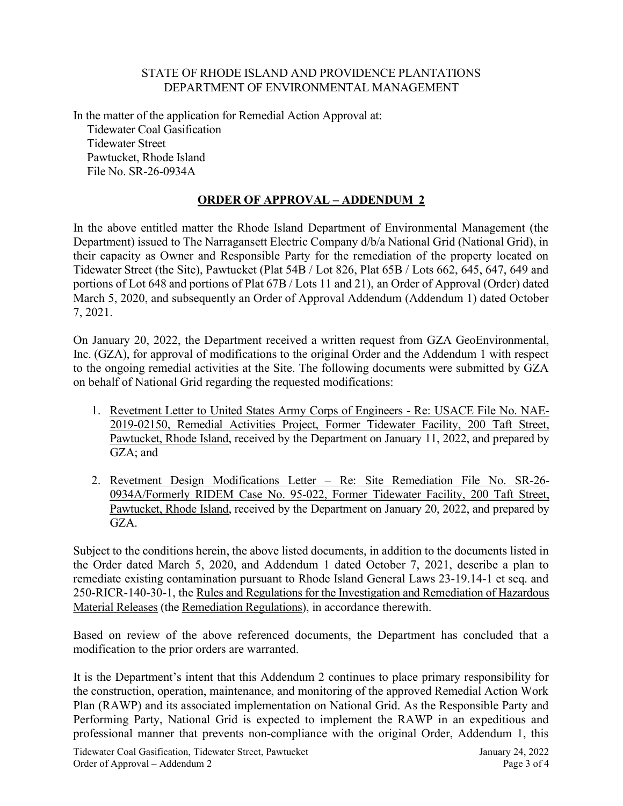## STATE OF RHODE ISLAND AND PROVIDENCE PLANTATIONS DEPARTMENT OF ENVIRONMENTAL MANAGEMENT

In the matter of the application for Remedial Action Approval at: Tidewater Coal Gasification Tidewater Street Pawtucket, Rhode Island File No. SR-26-0934A

## ORDER OF APPROVAL – ADDENDUM 2

In the above entitled matter the Rhode Island Department of Environmental Management (the Department) issued to The Narragansett Electric Company d/b/a National Grid (National Grid), in their capacity as Owner and Responsible Party for the remediation of the property located on Tidewater Street (the Site), Pawtucket (Plat 54B / Lot 826, Plat 65B / Lots 662, 645, 647, 649 and portions of Lot 648 and portions of Plat 67B / Lots 11 and 21), an Order of Approval (Order) dated March 5, 2020, and subsequently an Order of Approval Addendum (Addendum 1) dated October 7, 2021.

On January 20, 2022, the Department received a written request from GZA GeoEnvironmental, Inc. (GZA), for approval of modifications to the original Order and the Addendum 1 with respect to the ongoing remedial activities at the Site. The following documents were submitted by GZA on behalf of National Grid regarding the requested modifications:

- 1. Revetment Letter to United States Army Corps of Engineers Re: USACE File No. NAE-2019-02150, Remedial Activities Project, Former Tidewater Facility, 200 Taft Street, Pawtucket, Rhode Island, received by the Department on January 11, 2022, and prepared by GZA; and
- 2. Revetment Design Modifications Letter Re: Site Remediation File No. SR-26- 0934A/Formerly RIDEM Case No. 95-022, Former Tidewater Facility, 200 Taft Street, Pawtucket, Rhode Island, received by the Department on January 20, 2022, and prepared by GZA.

Subject to the conditions herein, the above listed documents, in addition to the documents listed in the Order dated March 5, 2020, and Addendum 1 dated October 7, 2021, describe a plan to remediate existing contamination pursuant to Rhode Island General Laws 23-19.14-1 et seq. and 250-RICR-140-30-1, the Rules and Regulations for the Investigation and Remediation of Hazardous Material Releases (the Remediation Regulations), in accordance therewith.

Based on review of the above referenced documents, the Department has concluded that a modification to the prior orders are warranted.

It is the Department's intent that this Addendum 2 continues to place primary responsibility for the construction, operation, maintenance, and monitoring of the approved Remedial Action Work Plan (RAWP) and its associated implementation on National Grid. As the Responsible Party and Performing Party, National Grid is expected to implement the RAWP in an expeditious and professional manner that prevents non-compliance with the original Order, Addendum 1, this